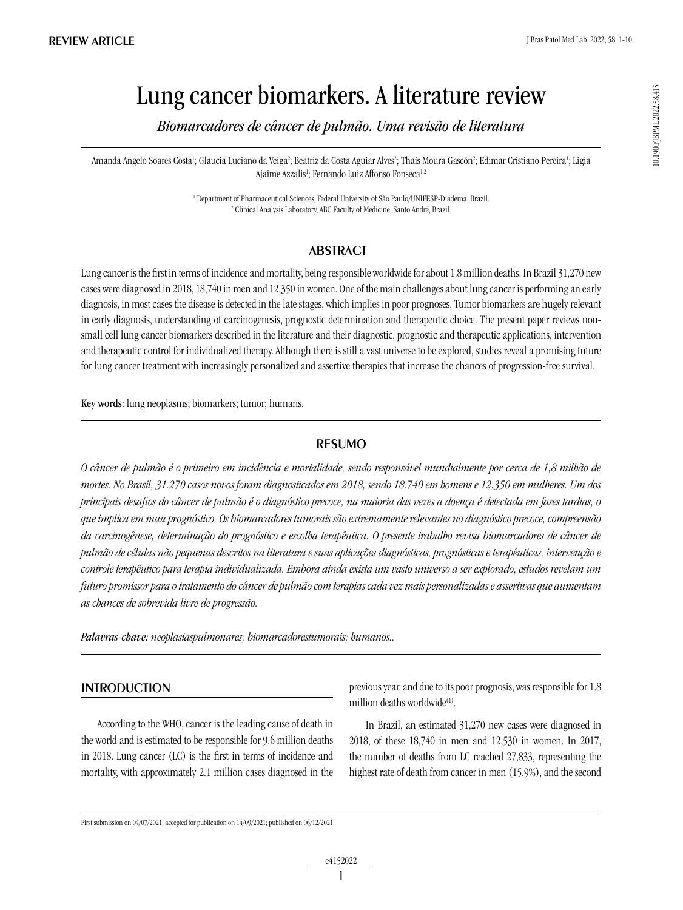10.1900/JBPML2022.58.415 10.1900/JBPML.2022.58.415

# Lung cancer biomarkers. A literature review

*Biomarcadores de câncer de pulmão. Uma revisão de literatura*

Amanda Angelo Soares Costa<sup>1</sup>; Glaucia Luciano da Veiga<sup>2</sup>; Beatriz da Costa Aguiar Alves<sup>2</sup>; Thaís Moura Gascón<sup>2</sup>; Edimar Cristiano Pereira<sup>1</sup>; Ligia Ajaime Azzalis<sup>1</sup>; Fernando Luiz Affonso Fonseca<sup>1,2</sup>

> <sup>1</sup> Department of Pharmaceutical Sciences, Federal University of São Paulo/UNIFESP-Diadema, Brazil. 2 Clinical Analysis Laboratory, ABC Faculty of Medicine, Santo André, Brazil.

# **ABSTRACT**

Lung cancer is the first in terms of incidence and mortality, being responsible worldwide for about 1.8 million deaths. In Brazil 31,270 new cases were diagnosed in 2018, 18,740 in men and 12,350 in women. One of the main challenges about lung cancer is performing an early diagnosis, in most cases the disease is detected in the late stages, which implies in poor prognoses. Tumor biomarkers are hugely relevant in early diagnosis, understanding of carcinogenesis, prognostic determination and therapeutic choice. The present paper reviews nonsmall cell lung cancer biomarkers described in the literature and their diagnostic, prognostic and therapeutic applications, intervention and therapeutic control for individualized therapy. Although there is still a vast universe to be explored, studies reveal a promising future for lung cancer treatment with increasingly personalized and assertive therapies that increase the chances of progression-free survival.

Key words: lung neoplasms; biomarkers; tumor; humans.

# resumo

*O câncer de pulmão é o primeiro em incidência e mortalidade, sendo responsável mundialmente por cerca de 1,8 milhão de mortes. No Brasil, 31.270 casos novos foram diagnosticados em 2018, sendo 18.740 em homens e 12.350 em mulheres. Um dos principais desafios do câncer de pulmão é o diagnóstico precoce, na maioria das vezes a doença é detectada em fases tardias, o que implica em mau prognóstico. Os biomarcadores tumorais são extremamente relevantes no diagnóstico precoce, compreensão da carcinogênese, determinação do prognóstico e escolha terapêutica. O presente trabalho revisa biomarcadores de câncer de pulmão de células não pequenas descritos na literatura e suas aplicações diagnósticas, prognósticas e terapêuticas, intervenção e controle terapêutico para terapia individualizada. Embora ainda exista um vasto universo a ser explorado, estudos revelam um futuro promissor para o tratamento do câncer de pulmão com terapias cada vez mais personalizadas e assertivas que aumentam as chances de sobrevida livre de progressão.*

*Palavras-chave: neoplasiaspulmonares; biomarcadorestumorais; humanos..*

# **INTRODUCTION**

According to the WHO, cancer is the leading cause of death in the world and is estimated to be responsible for 9.6 million deaths in 2018. Lung cancer (LC) is the first in terms of incidence and mortality, with approximately 2.1 million cases diagnosed in the previous year, and due to its poor prognosis, was responsible for 1.8 million deaths worldwide<sup>(1)</sup>.

In Brazil, an estimated 31,270 new cases were diagnosed in 2018, of these 18,740 in men and 12,530 in women. In 2017, the number of deaths from LC reached 27,833, representing the highest rate of death from cancer in men (15.9%), and the second

First submission on 04/07/2021; accepted for publication on 14/09/2021; published on 06/12/2021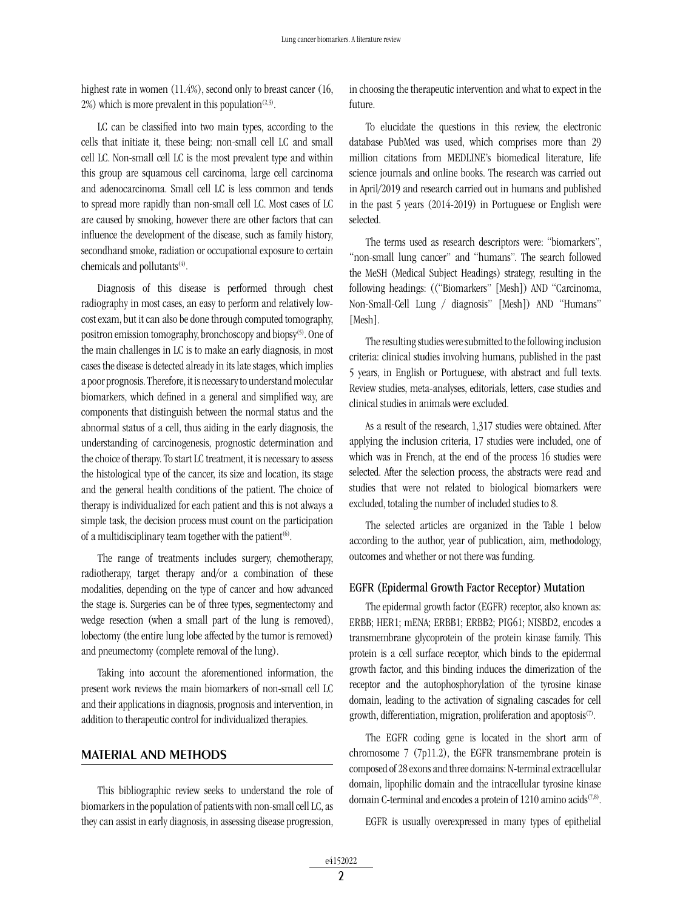highest rate in women (11.4%), second only to breast cancer (16,  $2\%$ ) which is more prevalent in this population<sup>(2,3)</sup>.

LC can be classified into two main types, according to the cells that initiate it, these being: non-small cell LC and small cell LC. Non-small cell LC is the most prevalent type and within this group are squamous cell carcinoma, large cell carcinoma and adenocarcinoma. Small cell LC is less common and tends to spread more rapidly than non-small cell LC. Most cases of LC are caused by smoking, however there are other factors that can influence the development of the disease, such as family history, secondhand smoke, radiation or occupational exposure to certain chemicals and pollutants<sup>(4)</sup>.

Diagnosis of this disease is performed through chest radiography in most cases, an easy to perform and relatively lowcost exam, but it can also be done through computed tomography, positron emission tomography, bronchoscopy and biopsy<sup>(5)</sup>. One of the main challenges in LC is to make an early diagnosis, in most cases the disease is detected already in its late stages, which implies a poor prognosis. Therefore, it is necessary to understand molecular biomarkers, which defined in a general and simplified way, are components that distinguish between the normal status and the abnormal status of a cell, thus aiding in the early diagnosis, the understanding of carcinogenesis, prognostic determination and the choice of therapy. To start LC treatment, it is necessary to assess the histological type of the cancer, its size and location, its stage and the general health conditions of the patient. The choice of therapy is individualized for each patient and this is not always a simple task, the decision process must count on the participation of a multidisciplinary team together with the patient<sup> $(6)$ </sup>.

The range of treatments includes surgery, chemotherapy, radiotherapy, target therapy and/or a combination of these modalities, depending on the type of cancer and how advanced the stage is. Surgeries can be of three types, segmentectomy and wedge resection (when a small part of the lung is removed), lobectomy (the entire lung lobe affected by the tumor is removed) and pneumectomy (complete removal of the lung).

Taking into account the aforementioned information, the present work reviews the main biomarkers of non-small cell LC and their applications in diagnosis, prognosis and intervention, in addition to therapeutic control for individualized therapies.

### MATERIAL AND METHODS

This bibliographic review seeks to understand the role of biomarkers in the population of patients with non-small cell LC, as they can assist in early diagnosis, in assessing disease progression, in choosing the therapeutic intervention and what to expect in the future.

To elucidate the questions in this review, the electronic database PubMed was used, which comprises more than 29 million citations from MEDLINE's biomedical literature, life science journals and online books. The research was carried out in April/2019 and research carried out in humans and published in the past 5 years (2014-2019) in Portuguese or English were selected.

The terms used as research descriptors were: "biomarkers", "non-small lung cancer" and "humans". The search followed the MeSH (Medical Subject Headings) strategy, resulting in the following headings: (("Biomarkers" [Mesh]) AND "Carcinoma, Non-Small-Cell Lung / diagnosis" [Mesh]) AND "Humans" [Mesh].

The resulting studies were submitted to the following inclusion criteria: clinical studies involving humans, published in the past 5 years, in English or Portuguese, with abstract and full texts. Review studies, meta-analyses, editorials, letters, case studies and clinical studies in animals were excluded.

As a result of the research, 1,317 studies were obtained. After applying the inclusion criteria, 17 studies were included, one of which was in French, at the end of the process 16 studies were selected. After the selection process, the abstracts were read and studies that were not related to biological biomarkers were excluded, totaling the number of included studies to 8.

The selected articles are organized in the Table 1 below according to the author, year of publication, aim, methodology, outcomes and whether or not there was funding.

#### EGFR (Epidermal Growth Factor Receptor) Mutation

The epidermal growth factor (EGFR) receptor, also known as: ERBB; HER1; mENA; ERBB1; ERBB2; PIG61; NISBD2, encodes a transmembrane glycoprotein of the protein kinase family. This protein is a cell surface receptor, which binds to the epidermal growth factor, and this binding induces the dimerization of the receptor and the autophosphorylation of the tyrosine kinase domain, leading to the activation of signaling cascades for cell growth, differentiation, migration, proliferation and apoptosis<sup> $(7)$ </sup>.

The EGFR coding gene is located in the short arm of chromosome 7 (7p11.2), the EGFR transmembrane protein is composed of 28 exons and three domains: N-terminal extracellular domain, lipophilic domain and the intracellular tyrosine kinase domain C-terminal and encodes a protein of 1210 amino acids<sup> $(7,8)$ </sup>.

EGFR is usually overexpressed in many types of epithelial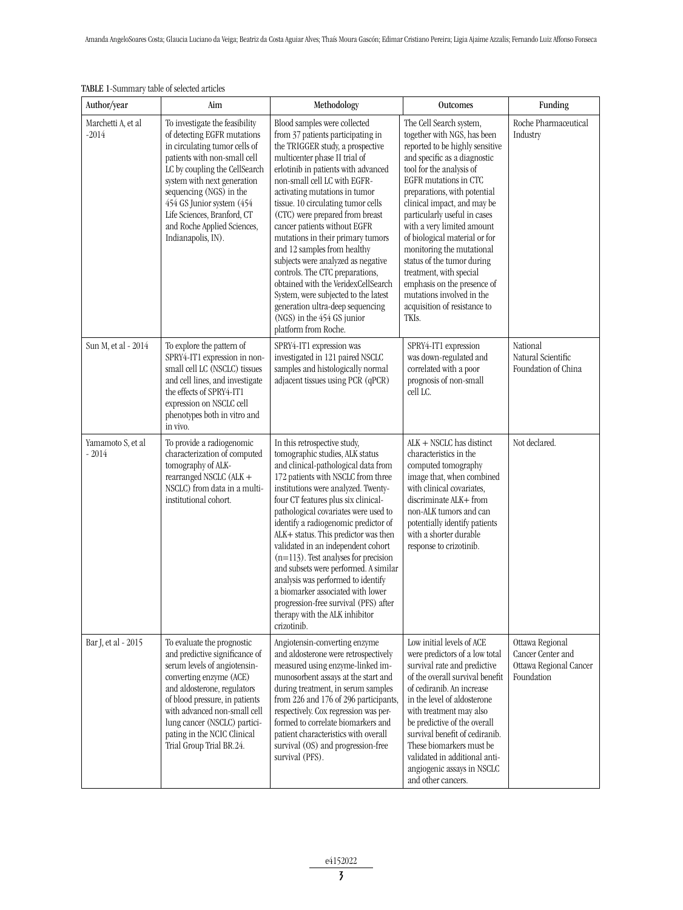| TABLE 1-Summary table of selected articles<br>Author/year | Aim                                                                                                                                                                                                                                                                                                                                        | Methodology                                                                                                                                                                                                                                                                                                                                                                                                                                                                                                                                                                                                                                                                   | <b>Outcomes</b>                                                                                                                                                                                                                                                                                                                                                                                                                                                                                                                                      | Funding                                                                      |
|-----------------------------------------------------------|--------------------------------------------------------------------------------------------------------------------------------------------------------------------------------------------------------------------------------------------------------------------------------------------------------------------------------------------|-------------------------------------------------------------------------------------------------------------------------------------------------------------------------------------------------------------------------------------------------------------------------------------------------------------------------------------------------------------------------------------------------------------------------------------------------------------------------------------------------------------------------------------------------------------------------------------------------------------------------------------------------------------------------------|------------------------------------------------------------------------------------------------------------------------------------------------------------------------------------------------------------------------------------------------------------------------------------------------------------------------------------------------------------------------------------------------------------------------------------------------------------------------------------------------------------------------------------------------------|------------------------------------------------------------------------------|
| Marchetti A, et al<br>$-2014$                             | To investigate the feasibility<br>of detecting EGFR mutations<br>in circulating tumor cells of<br>patients with non-small cell<br>LC by coupling the CellSearch<br>system with next generation<br>sequencing (NGS) in the<br>454 GS Junior system (454<br>Life Sciences, Branford, CT<br>and Roche Applied Sciences,<br>Indianapolis, IN). | Blood samples were collected<br>from 37 patients participating in<br>the TRIGGER study, a prospective<br>multicenter phase II trial of<br>erlotinib in patients with advanced<br>non-small cell LC with EGFR-<br>activating mutations in tumor<br>tissue. 10 circulating tumor cells<br>(CTC) were prepared from breast<br>cancer patients without EGFR<br>mutations in their primary tumors<br>and 12 samples from healthy<br>subjects were analyzed as negative<br>controls. The CTC preparations,<br>obtained with the VeridexCellSearch<br>System, were subjected to the latest<br>generation ultra-deep sequencing<br>(NGS) in the 454 GS junior<br>platform from Roche. | The Cell Search system,<br>together with NGS, has been<br>reported to be highly sensitive<br>and specific as a diagnostic<br>tool for the analysis of<br>EGFR mutations in CTC<br>preparations, with potential<br>clinical impact, and may be<br>particularly useful in cases<br>with a very limited amount<br>of biological material or for<br>monitoring the mutational<br>status of the tumor during<br>treatment, with special<br>emphasis on the presence of<br>mutations involved in the<br>acquisition of resistance to<br>TKI <sub>S</sub> . | Roche Pharmaceutical<br>Industry                                             |
| Sun M, et al - 2014                                       | To explore the pattern of<br>SPRY4-IT1 expression in non-<br>small cell LC (NSCLC) tissues<br>and cell lines, and investigate<br>the effects of SPRY4-IT1<br>expression on NSCLC cell<br>phenotypes both in vitro and<br>in vivo.                                                                                                          | SPRY4-IT1 expression was<br>investigated in 121 paired NSCLC<br>samples and histologically normal<br>adjacent tissues using PCR (qPCR)                                                                                                                                                                                                                                                                                                                                                                                                                                                                                                                                        | SPRY4-IT1 expression<br>was down-regulated and<br>correlated with a poor<br>prognosis of non-small<br>cell LC.                                                                                                                                                                                                                                                                                                                                                                                                                                       | National<br>Natural Scientific<br>Foundation of China                        |
| Yamamoto S, et al<br>$-2014$                              | To provide a radiogenomic<br>characterization of computed<br>tomography of ALK-<br>rearranged NSCLC (ALK +<br>NSCLC) from data in a multi-<br>institutional cohort.                                                                                                                                                                        | In this retrospective study,<br>tomographic studies, ALK status<br>and clinical-pathological data from<br>172 patients with NSCLC from three<br>institutions were analyzed. Twenty-<br>four CT features plus six clinical-<br>pathological covariates were used to<br>identify a radiogenomic predictor of<br>ALK+ status. This predictor was then<br>validated in an independent cohort<br>$(n=113)$ . Test analyses for precision<br>and subsets were performed. A similar<br>analysis was performed to identify<br>a biomarker associated with lower<br>progression-free survival (PFS) after<br>therapy with the ALK inhibitor<br>crizotinib.                             | $ALK + NSCLC$ has distinct<br>characteristics in the<br>computed tomography<br>image that, when combined<br>with clinical covariates,<br>discriminate ALK+ from<br>non-ALK tumors and can<br>potentially identify patients<br>with a shorter durable<br>response to crizotinib.                                                                                                                                                                                                                                                                      | Not declared.                                                                |
| Bar J, et al - 2015                                       | To evaluate the prognostic<br>and predictive significance of<br>serum levels of angiotensin-<br>converting enzyme (ACE)<br>and aldosterone, regulators<br>of blood pressure, in patients<br>with advanced non-small cell<br>lung cancer (NSCLC) partici-<br>pating in the NCIC Clinical<br>Trial Group Trial BR.24.                        | Angiotensin-converting enzyme<br>and aldosterone were retrospectively<br>measured using enzyme-linked im-<br>munosorbent assays at the start and<br>during treatment, in serum samples<br>from 226 and 176 of 296 participants,<br>respectively. Cox regression was per-<br>formed to correlate biomarkers and<br>patient characteristics with overall<br>survival (OS) and progression-free<br>survival (PFS).                                                                                                                                                                                                                                                               | Low initial levels of ACE<br>were predictors of a low total<br>survival rate and predictive<br>of the overall survival benefit<br>of cediranib. An increase<br>in the level of aldosterone<br>with treatment may also<br>be predictive of the overall<br>survival benefit of cediranib.<br>These biomarkers must be<br>validated in additional anti-<br>angiogenic assays in NSCLC<br>and other cancers.                                                                                                                                             | Ottawa Regional<br>Cancer Center and<br>Ottawa Regional Cancer<br>Foundation |

# $\overline{\text{TR 1-}$ Summary table of selected article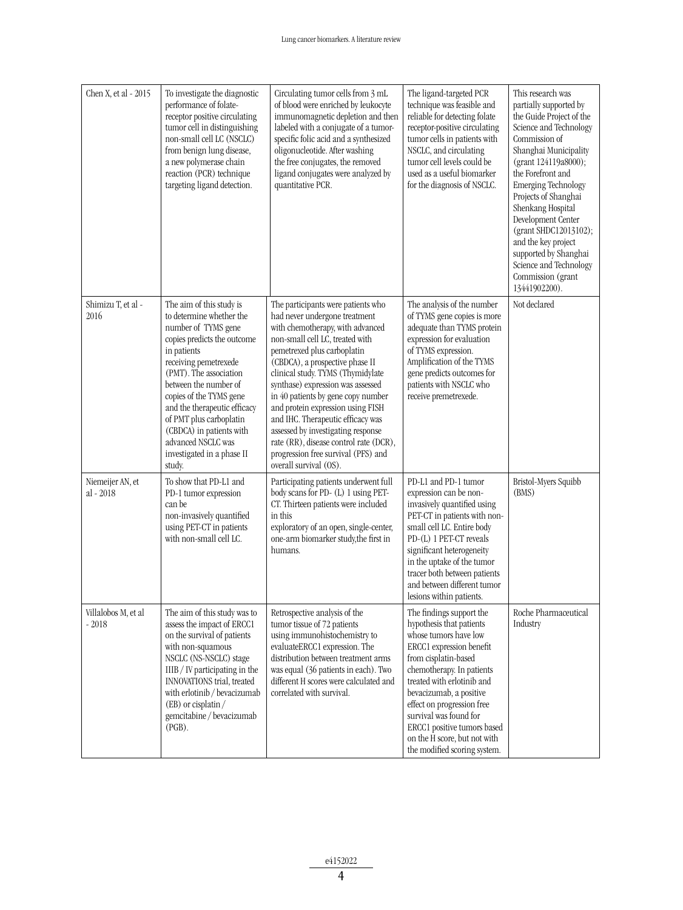| Chen X, et al - 2015          | To investigate the diagnostic<br>performance of folate-<br>receptor positive circulating<br>tumor cell in distinguishing<br>non-small cell LC (NSCLC)<br>from benign lung disease,<br>a new polymerase chain<br>reaction (PCR) technique<br>targeting ligand detection.                                                                                                               | Circulating tumor cells from 3 mL<br>of blood were enriched by leukocyte<br>immunomagnetic depletion and then<br>labeled with a conjugate of a tumor-<br>specific folic acid and a synthesized<br>oligonucleotide. After washing<br>the free conjugates, the removed<br>ligand conjugates were analyzed by<br>quantitative PCR.                                                                                                                                                                                                                         | The ligand-targeted PCR<br>technique was feasible and<br>reliable for detecting folate<br>receptor-positive circulating<br>tumor cells in patients with<br>NSCLC, and circulating<br>tumor cell levels could be<br>used as a useful biomarker<br>for the diagnosis of NSCLC.                                                                                                   | This research was<br>partially supported by<br>the Guide Project of the<br>Science and Technology<br>Commission of<br>Shanghai Municipality<br>(grant 124119a8000);<br>the Forefront and<br><b>Emerging Technology</b><br>Projects of Shanghai<br>Shenkang Hospital<br>Development Center<br>(grant SHDC12013102);<br>and the key project<br>supported by Shanghai<br>Science and Technology<br>Commission (grant<br>13441902200). |
|-------------------------------|---------------------------------------------------------------------------------------------------------------------------------------------------------------------------------------------------------------------------------------------------------------------------------------------------------------------------------------------------------------------------------------|---------------------------------------------------------------------------------------------------------------------------------------------------------------------------------------------------------------------------------------------------------------------------------------------------------------------------------------------------------------------------------------------------------------------------------------------------------------------------------------------------------------------------------------------------------|--------------------------------------------------------------------------------------------------------------------------------------------------------------------------------------------------------------------------------------------------------------------------------------------------------------------------------------------------------------------------------|------------------------------------------------------------------------------------------------------------------------------------------------------------------------------------------------------------------------------------------------------------------------------------------------------------------------------------------------------------------------------------------------------------------------------------|
| Shimizu T, et al -<br>2016    | The aim of this study is<br>to determine whether the<br>number of TYMS gene<br>copies predicts the outcome<br>in patients<br>receiving pemetrexede<br>(PMT). The association<br>between the number of<br>copies of the TYMS gene<br>and the therapeutic efficacy<br>of PMT plus carboplatin<br>(CBDCA) in patients with<br>advanced NSCLC was<br>investigated in a phase II<br>study. | The participants were patients who<br>had never undergone treatment<br>with chemotherapy, with advanced<br>non-small cell LC, treated with<br>pemetrexed plus carboplatin<br>(CBDCA), a prospective phase II<br>clinical study. TYMS (Thymidylate<br>synthase) expression was assessed<br>in 40 patients by gene copy number<br>and protein expression using FISH<br>and IHC. Therapeutic efficacy was<br>assessed by investigating response<br>rate (RR), disease control rate (DCR),<br>progression free survival (PFS) and<br>overall survival (OS). | The analysis of the number<br>of TYMS gene copies is more<br>adequate than TYMS protein<br>expression for evaluation<br>of TYMS expression.<br>Amplification of the TYMS<br>gene predicts outcomes for<br>patients with NSCLC who<br>receive premetrexede.                                                                                                                     | Not declared                                                                                                                                                                                                                                                                                                                                                                                                                       |
| Niemeijer AN, et<br>al - 2018 | To show that PD-L1 and<br>PD-1 tumor expression<br>can be<br>non-invasively quantified<br>using PET-CT in patients<br>with non-small cell LC.                                                                                                                                                                                                                                         | Participating patients underwent full<br>body scans for PD- (L) 1 using PET-<br>CT. Thirteen patients were included<br>in this<br>exploratory of an open, single-center,<br>one-arm biomarker study, the first in<br>humans.                                                                                                                                                                                                                                                                                                                            | PD-L1 and PD-1 tumor<br>expression can be non-<br>invasively quantified using<br>PET-CT in patients with non-<br>small cell LC. Entire body<br>PD-(L) 1 PET-CT reveals<br>significant heterogeneity<br>in the uptake of the tumor<br>tracer both between patients<br>and between different tumor<br>lesions within patients.                                                   | Bristol-Myers Squibb<br>(BMS)                                                                                                                                                                                                                                                                                                                                                                                                      |
| Villalobos M, et al<br>- 2018 | The aim of this study was to<br>assess the impact of ERCC1<br>on the survival of patients<br>with non-squamous<br>NSCLC (NS-NSCLC) stage<br>IIIB / IV participating in the<br>INNOVATIONS trial, treated<br>with erlotinib / bevacizumab<br>(EB) or cisplatin /<br>gemcitabine / bevacizumab<br>$(PGB)$ .                                                                             | Retrospective analysis of the<br>tumor tissue of 72 patients<br>using immunohistochemistry to<br>evaluateERCC1 expression. The<br>distribution between treatment arms<br>was equal (36 patients in each). Two<br>different H scores were calculated and<br>correlated with survival.                                                                                                                                                                                                                                                                    | The findings support the<br>hypothesis that patients<br>whose tumors have low<br>ERCC1 expression benefit<br>from cisplatin-based<br>chemotherapy. In patients<br>treated with erlotinib and<br>bevacizumab, a positive<br>effect on progression free<br>survival was found for<br>ERCC1 positive tumors based<br>on the H score, but not with<br>the modified scoring system. | Roche Pharmaceutical<br>Industry                                                                                                                                                                                                                                                                                                                                                                                                   |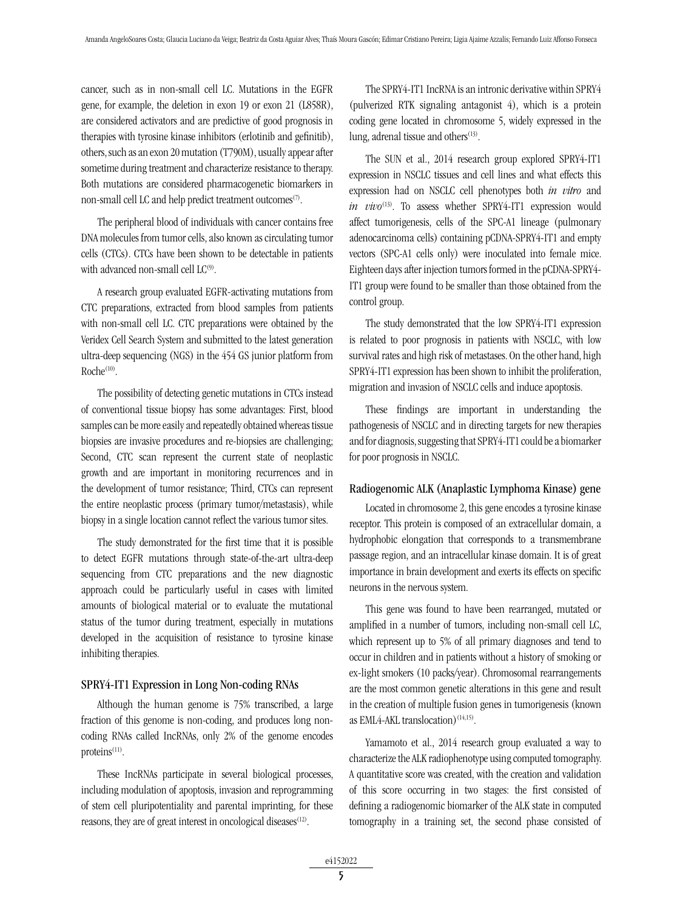cancer, such as in non-small cell LC. Mutations in the EGFR gene, for example, the deletion in exon 19 or exon 21 (L858R), are considered activators and are predictive of good prognosis in therapies with tyrosine kinase inhibitors (erlotinib and gefinitib), others, such as an exon 20 mutation (T790M), usually appear after sometime during treatment and characterize resistance to therapy. Both mutations are considered pharmacogenetic biomarkers in non-small cell LC and help predict treatment outcomes<sup>(7)</sup>.

The peripheral blood of individuals with cancer contains free DNA molecules from tumor cells, also known as circulating tumor cells (CTCs). CTCs have been shown to be detectable in patients with advanced non-small cell  $LC^{(9)}$ .

A research group evaluated EGFR-activating mutations from CTC preparations, extracted from blood samples from patients with non-small cell LC. CTC preparations were obtained by the Veridex Cell Search System and submitted to the latest generation ultra-deep sequencing (NGS) in the 454 GS junior platform from  $Roche^{(10)}$ .

The possibility of detecting genetic mutations in CTCs instead of conventional tissue biopsy has some advantages: First, blood samples can be more easily and repeatedly obtained whereas tissue biopsies are invasive procedures and re-biopsies are challenging; Second, CTC scan represent the current state of neoplastic growth and are important in monitoring recurrences and in the development of tumor resistance; Third, CTCs can represent the entire neoplastic process (primary tumor/metastasis), while biopsy in a single location cannot reflect the various tumor sites.

The study demonstrated for the first time that it is possible to detect EGFR mutations through state-of-the-art ultra-deep sequencing from CTC preparations and the new diagnostic approach could be particularly useful in cases with limited amounts of biological material or to evaluate the mutational status of the tumor during treatment, especially in mutations developed in the acquisition of resistance to tyrosine kinase inhibiting therapies.

#### SPRY4-IT1 Expression in Long Non-coding RNAs

Although the human genome is 75% transcribed, a large fraction of this genome is non-coding, and produces long noncoding RNAs called IncRNAs, only 2% of the genome encodes proteins $(11)$ .

These IncRNAs participate in several biological processes, including modulation of apoptosis, invasion and reprogramming of stem cell pluripotentiality and parental imprinting, for these reasons, they are of great interest in oncological diseases $(12)$ .

The SPRY4-IT1 IncRNA is an intronic derivative within SPRY4 (pulverized RTK signaling antagonist 4), which is a protein coding gene located in chromosome 5, widely expressed in the lung, adrenal tissue and others $(13)$ .

The SUN et al., 2014 research group explored SPRY4-IT1 expression in NSCLC tissues and cell lines and what effects this expression had on NSCLC cell phenotypes both *in vitro* and *in vivo*<sup>(13)</sup>. To assess whether SPRY4-IT1 expression would affect tumorigenesis, cells of the SPC-A1 lineage (pulmonary adenocarcinoma cells) containing pCDNA-SPRY4-IT1 and empty vectors (SPC-A1 cells only) were inoculated into female mice. Eighteen days after injection tumors formed in the pCDNA-SPRY4- IT1 group were found to be smaller than those obtained from the control group.

The study demonstrated that the low SPRY4-IT1 expression is related to poor prognosis in patients with NSCLC, with low survival rates and high risk of metastases. On the other hand, high SPRY4-IT1 expression has been shown to inhibit the proliferation, migration and invasion of NSCLC cells and induce apoptosis.

These findings are important in understanding the pathogenesis of NSCLC and in directing targets for new therapies and for diagnosis, suggesting that SPRY4-IT1 could be a biomarker for poor prognosis in NSCLC.

#### Radiogenomic ALK (Anaplastic Lymphoma Kinase) gene

Located in chromosome 2, this gene encodes a tyrosine kinase receptor. This protein is composed of an extracellular domain, a hydrophobic elongation that corresponds to a transmembrane passage region, and an intracellular kinase domain. It is of great importance in brain development and exerts its effects on specific neurons in the nervous system.

This gene was found to have been rearranged, mutated or amplified in a number of tumors, including non-small cell LC, which represent up to 5% of all primary diagnoses and tend to occur in children and in patients without a history of smoking or ex-light smokers (10 packs/year). Chromosomal rearrangements are the most common genetic alterations in this gene and result in the creation of multiple fusion genes in tumorigenesis (known as EML4-AKL translocation) $(14,15)$ .

Yamamoto et al., 2014 research group evaluated a way to characterize the ALK radiophenotype using computed tomography. A quantitative score was created, with the creation and validation of this score occurring in two stages: the first consisted of defining a radiogenomic biomarker of the ALK state in computed tomography in a training set, the second phase consisted of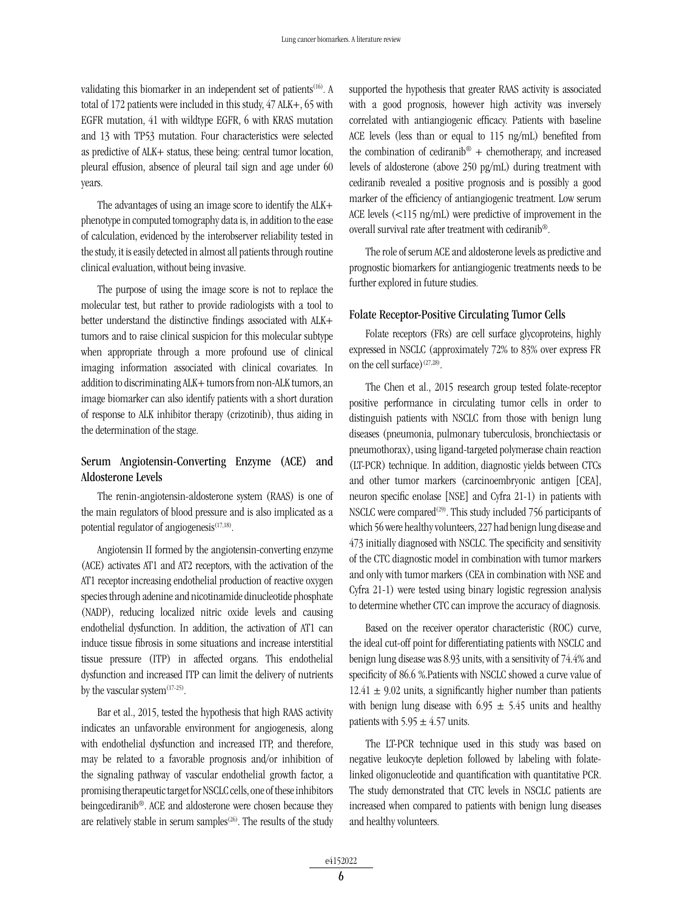validating this biomarker in an independent set of patients<sup>(16)</sup>. A total of 172 patients were included in this study, 47 ALK+, 65 with EGFR mutation, 41 with wildtype EGFR, 6 with KRAS mutation and 13 with TP53 mutation. Four characteristics were selected as predictive of ALK+ status, these being: central tumor location, pleural effusion, absence of pleural tail sign and age under 60 years.

The advantages of using an image score to identify the ALK+ phenotype in computed tomography data is, in addition to the ease of calculation, evidenced by the interobserver reliability tested in the study, it is easily detected in almost all patients through routine clinical evaluation, without being invasive.

The purpose of using the image score is not to replace the molecular test, but rather to provide radiologists with a tool to better understand the distinctive findings associated with ALK+ tumors and to raise clinical suspicion for this molecular subtype when appropriate through a more profound use of clinical imaging information associated with clinical covariates. In addition to discriminating ALK+ tumors from non-ALK tumors, an image biomarker can also identify patients with a short duration of response to ALK inhibitor therapy (crizotinib), thus aiding in the determination of the stage.

# Serum Angiotensin-Converting Enzyme (ACE) and Aldosterone Levels

The renin-angiotensin-aldosterone system (RAAS) is one of the main regulators of blood pressure and is also implicated as a potential regulator of angiogenesis $(17,18)$ .

Angiotensin II formed by the angiotensin-converting enzyme (ACE) activates AT1 and AT2 receptors, with the activation of the AT1 receptor increasing endothelial production of reactive oxygen species through adenine and nicotinamide dinucleotide phosphate (NADP), reducing localized nitric oxide levels and causing endothelial dysfunction. In addition, the activation of AT1 can induce tissue fibrosis in some situations and increase interstitial tissue pressure (ITP) in affected organs. This endothelial dysfunction and increased ITP can limit the delivery of nutrients by the vascular system $(17-25)$ .

Bar et al., 2015, tested the hypothesis that high RAAS activity indicates an unfavorable environment for angiogenesis, along with endothelial dysfunction and increased ITP, and therefore, may be related to a favorable prognosis and/or inhibition of the signaling pathway of vascular endothelial growth factor, a promising therapeutic target for NSCLC cells, one of these inhibitors beingcediranib®. ACE and aldosterone were chosen because they are relatively stable in serum samples<sup> $(26)$ </sup>. The results of the study supported the hypothesis that greater RAAS activity is associated with a good prognosis, however high activity was inversely correlated with antiangiogenic efficacy. Patients with baseline ACE levels (less than or equal to 115 ng/mL) benefited from the combination of cediranib® + chemotherapy, and increased levels of aldosterone (above 250 pg/mL) during treatment with cediranib revealed a positive prognosis and is possibly a good marker of the efficiency of antiangiogenic treatment. Low serum ACE levels (<115 ng/mL) were predictive of improvement in the overall survival rate after treatment with cediranib®.

The role of serum ACE and aldosterone levels as predictive and prognostic biomarkers for antiangiogenic treatments needs to be further explored in future studies.

#### Folate Receptor-Positive Circulating Tumor Cells

Folate receptors (FRs) are cell surface glycoproteins, highly expressed in NSCLC (approximately 72% to 83% over express FR on the cell surface) $(27,28)$ .

The Chen et al., 2015 research group tested folate-receptor positive performance in circulating tumor cells in order to distinguish patients with NSCLC from those with benign lung diseases (pneumonia, pulmonary tuberculosis, bronchiectasis or pneumothorax), using ligand-targeted polymerase chain reaction (LT-PCR) technique. In addition, diagnostic yields between CTCs and other tumor markers (carcinoembryonic antigen [CEA], neuron specific enolase [NSE] and Cyfra 21-1) in patients with NSCLC were compared<sup>(29)</sup>. This study included 756 participants of which 56 were healthy volunteers, 227 had benign lung disease and 473 initially diagnosed with NSCLC. The specificity and sensitivity of the CTC diagnostic model in combination with tumor markers and only with tumor markers (CEA in combination with NSE and Cyfra 21-1) were tested using binary logistic regression analysis to determine whether CTC can improve the accuracy of diagnosis.

Based on the receiver operator characteristic (ROC) curve, the ideal cut-off point for differentiating patients with NSCLC and benign lung disease was 8.93 units, with a sensitivity of 74.4% and specificity of 86.6 %.Patients with NSCLC showed a curve value of  $12.41 \pm 9.02$  units, a significantly higher number than patients with benign lung disease with 6.95  $\pm$  5.45 units and healthy patients with  $5.95 \pm 4.57$  units.

The LT-PCR technique used in this study was based on negative leukocyte depletion followed by labeling with folatelinked oligonucleotide and quantification with quantitative PCR. The study demonstrated that CTC levels in NSCLC patients are increased when compared to patients with benign lung diseases and healthy volunteers.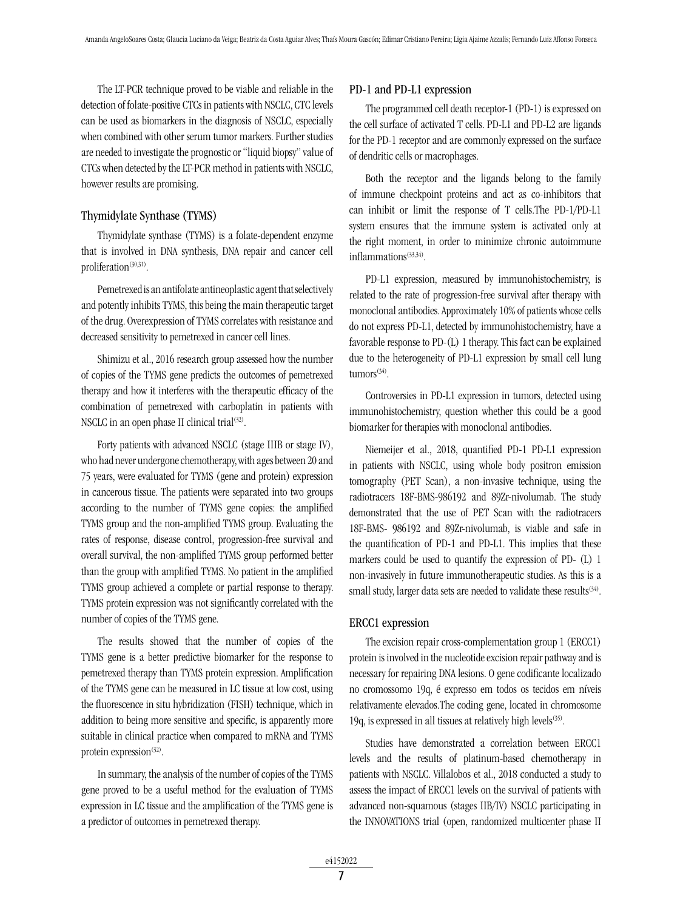The LT-PCR technique proved to be viable and reliable in the detection of folate-positive CTCs in patients with NSCLC, CTC levels can be used as biomarkers in the diagnosis of NSCLC, especially when combined with other serum tumor markers. Further studies are needed to investigate the prognostic or "liquid biopsy" value of CTCs when detected by the LT-PCR method in patients with NSCLC, however results are promising.

## Thymidylate Synthase (TYMS)

Thymidylate synthase (TYMS) is a folate-dependent enzyme that is involved in DNA synthesis, DNA repair and cancer cell proliferation<sup>(30,31)</sup>.

Pemetrexed is an antifolate antineoplastic agent that selectively and potently inhibits TYMS, this being the main therapeutic target of the drug. Overexpression of TYMS correlates with resistance and decreased sensitivity to pemetrexed in cancer cell lines.

Shimizu et al., 2016 research group assessed how the number of copies of the TYMS gene predicts the outcomes of pemetrexed therapy and how it interferes with the therapeutic efficacy of the combination of pemetrexed with carboplatin in patients with NSCLC in an open phase II clinical trial $(32)$ .

Forty patients with advanced NSCLC (stage IIIB or stage IV), who had never undergone chemotherapy, with ages between 20 and 75 years, were evaluated for TYMS (gene and protein) expression in cancerous tissue. The patients were separated into two groups according to the number of TYMS gene copies: the amplified TYMS group and the non-amplified TYMS group. Evaluating the rates of response, disease control, progression-free survival and overall survival, the non-amplified TYMS group performed better than the group with amplified TYMS. No patient in the amplified TYMS group achieved a complete or partial response to therapy. TYMS protein expression was not significantly correlated with the number of copies of the TYMS gene.

The results showed that the number of copies of the TYMS gene is a better predictive biomarker for the response to pemetrexed therapy than TYMS protein expression. Amplification of the TYMS gene can be measured in LC tissue at low cost, using the fluorescence in situ hybridization (FISH) technique, which in addition to being more sensitive and specific, is apparently more suitable in clinical practice when compared to mRNA and TYMS protein expression $(32)$ .

In summary, the analysis of the number of copies of the TYMS gene proved to be a useful method for the evaluation of TYMS expression in LC tissue and the amplification of the TYMS gene is a predictor of outcomes in pemetrexed therapy.

## PD-1 and PD-L1 expression

The programmed cell death receptor-1 (PD-1) is expressed on the cell surface of activated T cells. PD-L1 and PD-L2 are ligands for the PD-1 receptor and are commonly expressed on the surface of dendritic cells or macrophages.

Both the receptor and the ligands belong to the family of immune checkpoint proteins and act as co-inhibitors that can inhibit or limit the response of T cells.The PD-1/PD-L1 system ensures that the immune system is activated only at the right moment, in order to minimize chronic autoimmune inflammations(33,34).

PD-L1 expression, measured by immunohistochemistry, is related to the rate of progression-free survival after therapy with monoclonal antibodies. Approximately 10% of patients whose cells do not express PD-L1, detected by immunohistochemistry, have a favorable response to PD-(L) 1 therapy. This fact can be explained due to the heterogeneity of PD-L1 expression by small cell lung  $t$ umors<sup>(34)</sup>.

Controversies in PD-L1 expression in tumors, detected using immunohistochemistry, question whether this could be a good biomarker for therapies with monoclonal antibodies.

Niemeijer et al., 2018, quantified PD-1 PD-L1 expression in patients with NSCLC, using whole body positron emission tomography (PET Scan), a non-invasive technique, using the radiotracers 18F-BMS-986192 and 89Zr-nivolumab. The study demonstrated that the use of PET Scan with the radiotracers 18F-BMS- 986192 and 89Zr-nivolumab, is viable and safe in the quantification of PD-1 and PD-L1. This implies that these markers could be used to quantify the expression of PD- (L) 1 non-invasively in future immunotherapeutic studies. As this is a small study, larger data sets are needed to validate these results<sup> $(34)$ </sup>.

#### ERCC1 expression

The excision repair cross-complementation group 1 (ERCC1) protein is involved in the nucleotide excision repair pathway and is necessary for repairing DNA lesions. O gene codificante localizado no cromossomo 19q, é expresso em todos os tecidos em níveis relativamente elevados.The coding gene, located in chromosome 19q, is expressed in all tissues at relatively high levels<sup> $(35)$ </sup>.

Studies have demonstrated a correlation between ERCC1 levels and the results of platinum-based chemotherapy in patients with NSCLC. Villalobos et al., 2018 conducted a study to assess the impact of ERCC1 levels on the survival of patients with advanced non-squamous (stages IIB/IV) NSCLC participating in the INNOVATIONS trial (open, randomized multicenter phase II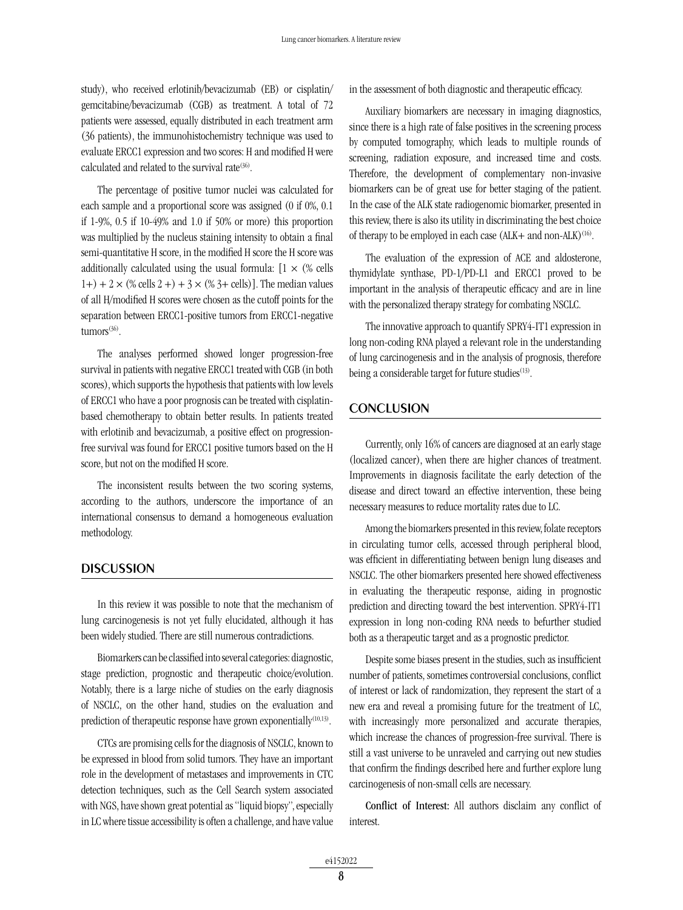study), who received erlotinib/bevacizumab (EB) or cisplatin/ gemcitabine/bevacizumab (CGB) as treatment. A total of 72 patients were assessed, equally distributed in each treatment arm (36 patients), the immunohistochemistry technique was used to evaluate ERCC1 expression and two scores: H and modified H were calculated and related to the survival rate<sup>(36)</sup>.

The percentage of positive tumor nuclei was calculated for each sample and a proportional score was assigned (0 if 0%, 0.1 if 1-9%, 0.5 if 10-49% and 1.0 if 50% or more) this proportion was multiplied by the nucleus staining intensity to obtain a final semi-quantitative H score, in the modified H score the H score was additionally calculated using the usual formula:  $[1 \times (\% \text{ cells})]$  $1+) + 2 \times$  (% cells  $2+) + 3 \times$  (% 3+ cells)]. The median values of all H/modified H scores were chosen as the cutoff points for the separation between ERCC1-positive tumors from ERCC1-negative  $t$ umors<sup>(36)</sup>.

The analyses performed showed longer progression-free survival in patients with negative ERCC1 treated with CGB (in both scores), which supports the hypothesis that patients with low levels of ERCC1 who have a poor prognosis can be treated with cisplatinbased chemotherapy to obtain better results. In patients treated with erlotinib and bevacizumab, a positive effect on progressionfree survival was found for ERCC1 positive tumors based on the H score, but not on the modified H score.

The inconsistent results between the two scoring systems, according to the authors, underscore the importance of an international consensus to demand a homogeneous evaluation methodology.

## **DISCUSSION**

In this review it was possible to note that the mechanism of lung carcinogenesis is not yet fully elucidated, although it has been widely studied. There are still numerous contradictions.

Biomarkers can be classified into several categories: diagnostic, stage prediction, prognostic and therapeutic choice/evolution. Notably, there is a large niche of studies on the early diagnosis of NSCLC, on the other hand, studies on the evaluation and prediction of therapeutic response have grown exponentially<sup>(10,13)</sup>.

CTCs are promising cells for the diagnosis of NSCLC, known to be expressed in blood from solid tumors. They have an important role in the development of metastases and improvements in CTC detection techniques, such as the Cell Search system associated with NGS, have shown great potential as "liquid biopsy", especially in LC where tissue accessibility is often a challenge, and have value in the assessment of both diagnostic and therapeutic efficacy.

Auxiliary biomarkers are necessary in imaging diagnostics, since there is a high rate of false positives in the screening process by computed tomography, which leads to multiple rounds of screening, radiation exposure, and increased time and costs. Therefore, the development of complementary non-invasive biomarkers can be of great use for better staging of the patient. In the case of the ALK state radiogenomic biomarker, presented in this review, there is also its utility in discriminating the best choice of therapy to be employed in each case  $(ALK+$  and non-ALK $)^{(16)}$ .

The evaluation of the expression of ACE and aldosterone, thymidylate synthase, PD-1/PD-L1 and ERCC1 proved to be important in the analysis of therapeutic efficacy and are in line with the personalized therapy strategy for combating NSCLC.

The innovative approach to quantify SPRY4-IT1 expression in long non-coding RNA played a relevant role in the understanding of lung carcinogenesis and in the analysis of prognosis, therefore being a considerable target for future studies<sup>(13)</sup>.

## **CONCLUSION**

Currently, only 16% of cancers are diagnosed at an early stage (localized cancer), when there are higher chances of treatment. Improvements in diagnosis facilitate the early detection of the disease and direct toward an effective intervention, these being necessary measures to reduce mortality rates due to LC.

Among the biomarkers presented in this review, folate receptors in circulating tumor cells, accessed through peripheral blood, was efficient in differentiating between benign lung diseases and NSCLC. The other biomarkers presented here showed effectiveness in evaluating the therapeutic response, aiding in prognostic prediction and directing toward the best intervention. SPRY4-IT1 expression in long non-coding RNA needs to befurther studied both as a therapeutic target and as a prognostic predictor.

Despite some biases present in the studies, such as insufficient number of patients, sometimes controversial conclusions, conflict of interest or lack of randomization, they represent the start of a new era and reveal a promising future for the treatment of LC, with increasingly more personalized and accurate therapies, which increase the chances of progression-free survival. There is still a vast universe to be unraveled and carrying out new studies that confirm the findings described here and further explore lung carcinogenesis of non-small cells are necessary.

Conflict of Interest: All authors disclaim any conflict of interest.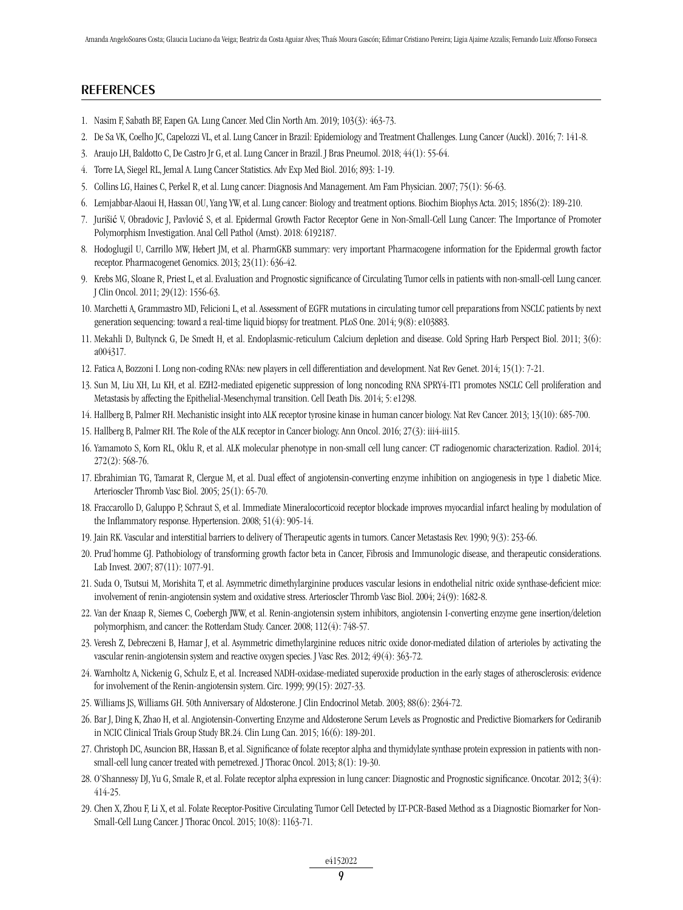## **REFERENCES**

- 1. Nasim F, Sabath BF, Eapen GA. Lung Cancer. Med Clin North Am. 2019; 103(3): 463-73.
- 2. De Sa VK, Coelho JC, Capelozzi VL, et al. Lung Cancer in Brazil: Epidemiology and Treatment Challenges. Lung Cancer (Auckl). 2016; 7: 141-8.
- 3. Araujo LH, Baldotto C, De Castro Jr G, et al. Lung Cancer in Brazil. J Bras Pneumol. 2018; 44(1): 55-64.
- 4. Torre LA, Siegel RL, Jemal A. Lung Cancer Statistics. Adv Exp Med Biol. 2016; 893: 1-19.
- 5. Collins LG, Haines C, Perkel R, et al. Lung cancer: Diagnosis And Management. Am Fam Physician. 2007; 75(1): 56-63.
- 6. Lemjabbar-Alaoui H, Hassan OU, Yang YW, et al. Lung cancer: Biology and treatment options. Biochim Biophys Acta. 2015; 1856(2): 189-210.
- 7. Jurišić V, Obradovic J, Pavlović S, et al. Epidermal Growth Factor Receptor Gene in Non-Small-Cell Lung Cancer: The Importance of Promoter Polymorphism Investigation. Anal Cell Pathol (Amst). 2018: 6192187.
- 8. Hodoglugil U, Carrillo MW, Hebert JM, et al. PharmGKB summary: very important Pharmacogene information for the Epidermal growth factor receptor. Pharmacogenet Genomics. 2013; 23(11): 636-42.
- 9. Krebs MG, Sloane R, Priest L, et al. Evaluation and Prognostic significance of Circulating Tumor cells in patients with non-small-cell Lung cancer. J Clin Oncol. 2011; 29(12): 1556-63.
- 10. Marchetti A, Grammastro MD, Felicioni L, et al. Assessment of EGFR mutations in circulating tumor cell preparations from NSCLC patients by next generation sequencing: toward a real-time liquid biopsy for treatment. PLoS One. 2014; 9(8): e103883.
- 11. Mekahli D, Bultynck G, De Smedt H, et al. Endoplasmic-reticulum Calcium depletion and disease. Cold Spring Harb Perspect Biol. 2011; 3(6): a004317.
- 12. Fatica A, Bozzoni I. Long non-coding RNAs: new players in cell differentiation and development. Nat Rev Genet. 2014; 15(1): 7-21.
- 13. Sun M, Liu XH, Lu KH, et al. EZH2-mediated epigenetic suppression of long noncoding RNA SPRY4-IT1 promotes NSCLC Cell proliferation and Metastasis by affecting the Epithelial-Mesenchymal transition. Cell Death Dis. 2014; 5: e1298.
- 14. Hallberg B, Palmer RH. Mechanistic insight into ALK receptor tyrosine kinase in human cancer biology. Nat Rev Cancer. 2013; 13(10): 685-700.
- 15. Hallberg B, Palmer RH. The Role of the ALK receptor in Cancer biology. Ann Oncol. 2016; 27(3): iii4-iii15.
- 16. Yamamoto S, Korn RL, Oklu R, et al. ALK molecular phenotype in non-small cell lung cancer: CT radiogenomic characterization. Radiol. 2014; 272(2): 568-76.
- 17. Ebrahimian TG, Tamarat R, Clergue M, et al. Dual effect of angiotensin-converting enzyme inhibition on angiogenesis in type 1 diabetic Mice. Arterioscler Thromb Vasc Biol. 2005; 25(1): 65-70.
- 18. Fraccarollo D, Galuppo P, Schraut S, et al. Immediate Mineralocorticoid receptor blockade improves myocardial infarct healing by modulation of the Inflammatory response. Hypertension. 2008; 51(4): 905-14.
- 19. Jain RK. Vascular and interstitial barriers to delivery of Therapeutic agents in tumors. Cancer Metastasis Rev. 1990; 9(3): 253-66.
- 20. Prud'homme GJ. Pathobiology of transforming growth factor beta in Cancer, Fibrosis and Immunologic disease, and therapeutic considerations. Lab Invest. 2007; 87(11): 1077-91.
- 21. Suda O, Tsutsui M, Morishita T, et al. Asymmetric dimethylarginine produces vascular lesions in endothelial nitric oxide synthase-deficient mice: involvement of renin-angiotensin system and oxidative stress. Arterioscler Thromb Vasc Biol. 2004; 24(9): 1682-8.
- 22. Van der Knaap R, Siemes C, Coebergh JWW, et al. Renin-angiotensin system inhibitors, angiotensin I-converting enzyme gene insertion/deletion polymorphism, and cancer: the Rotterdam Study. Cancer. 2008; 112(4): 748-57.
- 23. Veresh Z, Debreczeni B, Hamar J, et al. Asymmetric dimethylarginine reduces nitric oxide donor-mediated dilation of arterioles by activating the vascular renin-angiotensin system and reactive oxygen species. J Vasc Res. 2012; 49(4): 363-72.
- 24. Warnholtz A, Nickenig G, Schulz E, et al. Increased NADH-oxidase-mediated superoxide production in the early stages of atherosclerosis: evidence for involvement of the Renin-angiotensin system. Circ. 1999; 99(15): 2027-33.
- 25. Williams JS, Williams GH. 50th Anniversary of Aldosterone. J Clin Endocrinol Metab. 2003; 88(6): 2364-72.
- 26. Bar J, Ding K, Zhao H, et al. Angiotensin-Converting Enzyme and Aldosterone Serum Levels as Prognostic and Predictive Biomarkers for Cediranib in NCIC Clinical Trials Group Study BR.24. Clin Lung Can. 2015; 16(6): 189-201.
- 27. Christoph DC, Asuncion BR, Hassan B, et al. Significance of folate receptor alpha and thymidylate synthase protein expression in patients with nonsmall-cell lung cancer treated with pemetrexed. J Thorac Oncol. 2013; 8(1): 19-30.
- 28. O'Shannessy DJ, Yu G, Smale R, et al. Folate receptor alpha expression in lung cancer: Diagnostic and Prognostic significance. Oncotar. 2012; 3(4): 414-25.
- 29. Chen X, Zhou F, Li X, et al. Folate Receptor-Positive Circulating Tumor Cell Detected by LT-PCR-Based Method as a Diagnostic Biomarker for Non-Small-Cell Lung Cancer. J Thorac Oncol. 2015; 10(8): 1163-71.